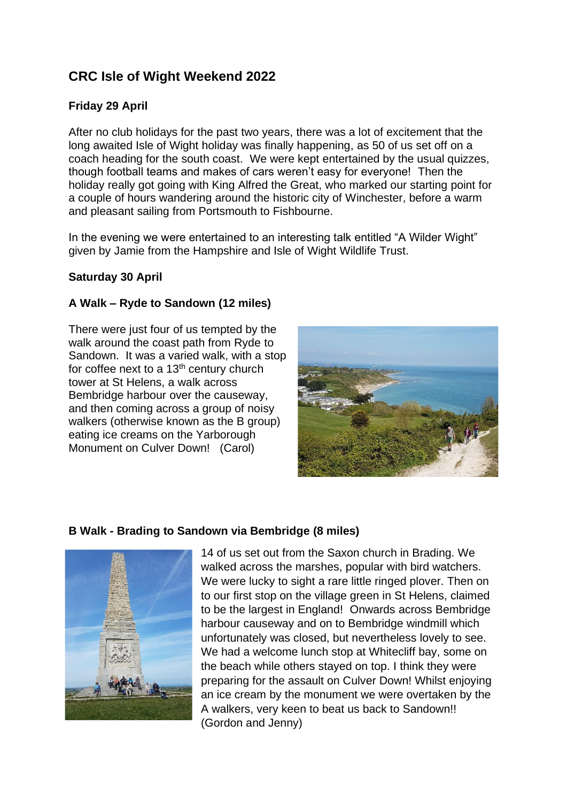# **CRC Isle of Wight Weekend 2022**

## **Friday 29 April**

After no club holidays for the past two years, there was a lot of excitement that the long awaited Isle of Wight holiday was finally happening, as 50 of us set off on a coach heading for the south coast. We were kept entertained by the usual quizzes, though football teams and makes of cars weren't easy for everyone! Then the holiday really got going with King Alfred the Great, who marked our starting point for a couple of hours wandering around the historic city of Winchester, before a warm and pleasant sailing from Portsmouth to Fishbourne.

In the evening we were entertained to an interesting talk entitled "A Wilder Wight" given by Jamie from the Hampshire and Isle of Wight Wildlife Trust.

#### **Saturday 30 April**

#### **A Walk – Ryde to Sandown (12 miles)**

There were just four of us tempted by the walk around the coast path from Ryde to Sandown. It was a varied walk, with a stop for coffee next to a 13<sup>th</sup> century church tower at St Helens, a walk across Bembridge harbour over the causeway, and then coming across a group of noisy walkers (otherwise known as the B group) eating ice creams on the Yarborough Monument on Culver Down! (Carol)



#### **B Walk - Brading to Sandown via Bembridge (8 miles)**



14 of us set out from the Saxon church in Brading. We walked across the marshes, popular with bird watchers. We were lucky to sight a rare little ringed plover. Then on to our first stop on the village green in St Helens, claimed to be the largest in England! Onwards across Bembridge harbour causeway and on to Bembridge windmill which unfortunately was closed, but nevertheless lovely to see. We had a welcome lunch stop at Whitecliff bay, some on the beach while others stayed on top. I think they were preparing for the assault on Culver Down! Whilst enjoying an ice cream by the monument we were overtaken by the A walkers, very keen to beat us back to Sandown!! (Gordon and Jenny)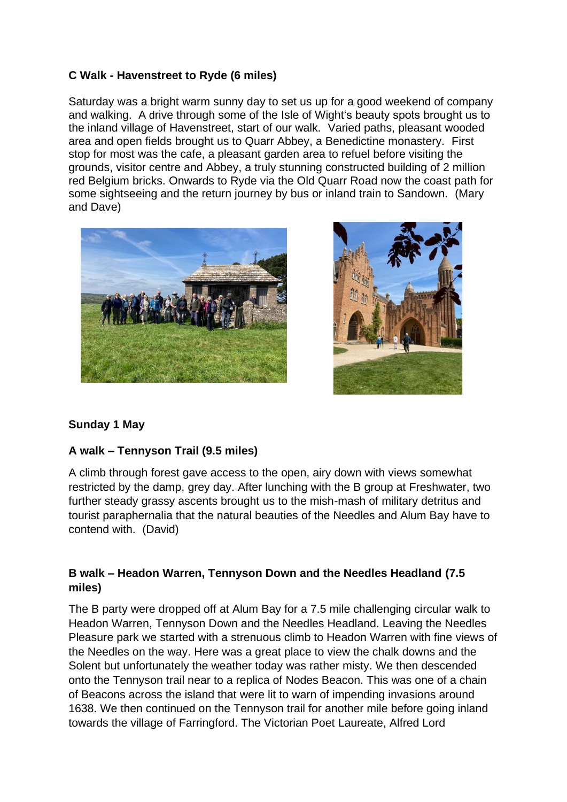## **C Walk - Havenstreet to Ryde (6 miles)**

Saturday was a bright warm sunny day to set us up for a good weekend of company and walking. A drive through some of the Isle of Wight's beauty spots brought us to the inland village of Havenstreet, start of our walk. Varied paths, pleasant wooded area and open fields brought us to Quarr Abbey, a Benedictine monastery. First stop for most was the cafe, a pleasant garden area to refuel before visiting the grounds, visitor centre and Abbey, a truly stunning constructed building of 2 million red Belgium bricks. Onwards to Ryde via the Old Quarr Road now the coast path for some sightseeing and the return journey by bus or inland train to Sandown. (Mary and Dave)





## **Sunday 1 May**

## **A walk – Tennyson Trail (9.5 miles)**

A climb through forest gave access to the open, airy down with views somewhat restricted by the damp, grey day. After lunching with the B group at Freshwater, two further steady grassy ascents brought us to the mish-mash of military detritus and tourist paraphernalia that the natural beauties of the Needles and Alum Bay have to contend with. (David)

## **B walk – Headon Warren, Tennyson Down and the Needles Headland (7.5 miles)**

The B party were dropped off at Alum Bay for a 7.5 mile challenging circular walk to Headon Warren, Tennyson Down and the Needles Headland. Leaving the Needles Pleasure park we started with a strenuous climb to Headon Warren with fine views of the Needles on the way. Here was a great place to view the chalk downs and the Solent but unfortunately the weather today was rather misty. We then descended onto the Tennyson trail near to a replica of Nodes Beacon. This was one of a chain of Beacons across the island that were lit to warn of impending invasions around 1638. We then continued on the Tennyson trail for another mile before going inland towards the village of Farringford. The Victorian Poet Laureate, Alfred Lord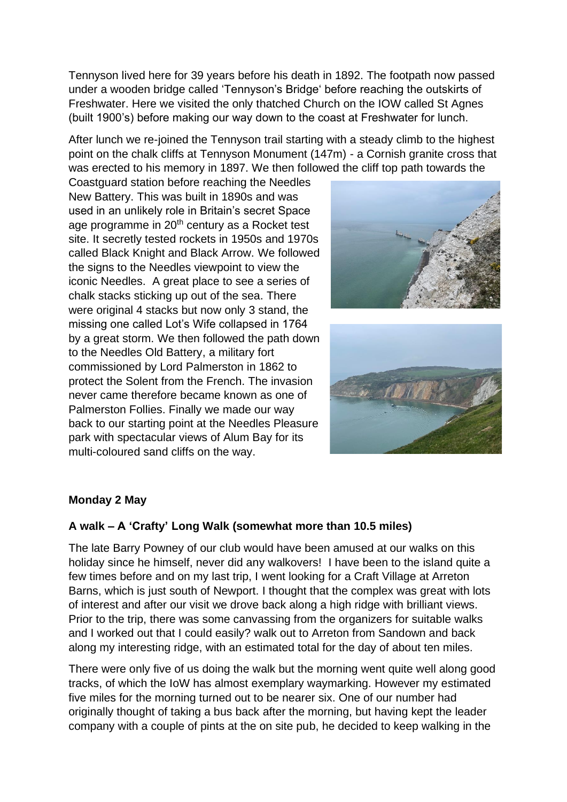Tennyson lived here for 39 years before his death in 1892. The footpath now passed under a wooden bridge called 'Tennyson's Bridge' before reaching the outskirts of Freshwater. Here we visited the only thatched Church on the IOW called St Agnes (built 1900's) before making our way down to the coast at Freshwater for lunch.

After lunch we re-joined the Tennyson trail starting with a steady climb to the highest point on the chalk cliffs at Tennyson Monument (147m) - a Cornish granite cross that was erected to his memory in 1897. We then followed the cliff top path towards the

Coastguard station before reaching the Needles New Battery. This was built in 1890s and was used in an unlikely role in Britain's secret Space age programme in 20<sup>th</sup> century as a Rocket test site. It secretly tested rockets in 1950s and 1970s called Black Knight and Black Arrow. We followed the signs to the Needles viewpoint to view the iconic Needles. A great place to see a series of chalk stacks sticking up out of the sea. There were original 4 stacks but now only 3 stand, the missing one called Lot's Wife collapsed in 1764 by a great storm. We then followed the path down to the Needles Old Battery, a military fort commissioned by Lord Palmerston in 1862 to protect the Solent from the French. The invasion never came therefore became known as one of Palmerston Follies. Finally we made our way back to our starting point at the Needles Pleasure park with spectacular views of Alum Bay for its multi-coloured sand cliffs on the way.





#### **Monday 2 May**

#### **A walk – A 'Crafty' Long Walk (somewhat more than 10.5 miles)**

The late Barry Powney of our club would have been amused at our walks on this holiday since he himself, never did any walkovers! I have been to the island quite a few times before and on my last trip, I went looking for a Craft Village at Arreton Barns, which is just south of Newport. I thought that the complex was great with lots of interest and after our visit we drove back along a high ridge with brilliant views. Prior to the trip, there was some canvassing from the organizers for suitable walks and I worked out that I could easily? walk out to Arreton from Sandown and back along my interesting ridge, with an estimated total for the day of about ten miles.

There were only five of us doing the walk but the morning went quite well along good tracks, of which the IoW has almost exemplary waymarking. However my estimated five miles for the morning turned out to be nearer six. One of our number had originally thought of taking a bus back after the morning, but having kept the leader company with a couple of pints at the on site pub, he decided to keep walking in the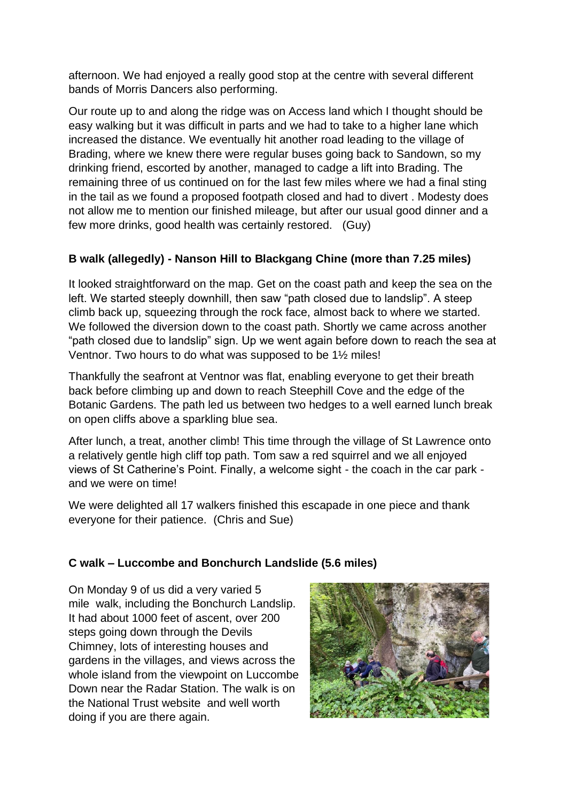afternoon. We had enjoyed a really good stop at the centre with several different bands of Morris Dancers also performing.

Our route up to and along the ridge was on Access land which I thought should be easy walking but it was difficult in parts and we had to take to a higher lane which increased the distance. We eventually hit another road leading to the village of Brading, where we knew there were regular buses going back to Sandown, so my drinking friend, escorted by another, managed to cadge a lift into Brading. The remaining three of us continued on for the last few miles where we had a final sting in the tail as we found a proposed footpath closed and had to divert . Modesty does not allow me to mention our finished mileage, but after our usual good dinner and a few more drinks, good health was certainly restored. (Guy)

# **B walk (allegedly) - Nanson Hill to Blackgang Chine (more than 7.25 miles)**

It looked straightforward on the map. Get on the coast path and keep the sea on the left. We started steeply downhill, then saw "path closed due to landslip". A steep climb back up, squeezing through the rock face, almost back to where we started. We followed the diversion down to the coast path. Shortly we came across another "path closed due to landslip" sign. Up we went again before down to reach the sea at Ventnor. Two hours to do what was supposed to be 1½ miles!

Thankfully the seafront at Ventnor was flat, enabling everyone to get their breath back before climbing up and down to reach Steephill Cove and the edge of the Botanic Gardens. The path led us between two hedges to a well earned lunch break on open cliffs above a sparkling blue sea.

After lunch, a treat, another climb! This time through the village of St Lawrence onto a relatively gentle high cliff top path. Tom saw a red squirrel and we all enjoyed views of St Catherine's Point. Finally, a welcome sight - the coach in the car park and we were on time!

We were delighted all 17 walkers finished this escapade in one piece and thank everyone for their patience. (Chris and Sue)

## **C walk – Luccombe and Bonchurch Landslide (5.6 miles)**

On Monday 9 of us did a very varied 5 mile walk, including the Bonchurch Landslip. It had about 1000 feet of ascent, over 200 steps going down through the Devils Chimney, lots of interesting houses and gardens in the villages, and views across the whole island from the viewpoint on Luccombe Down near the Radar Station. The walk is on the National Trust website and well worth doing if you are there again.